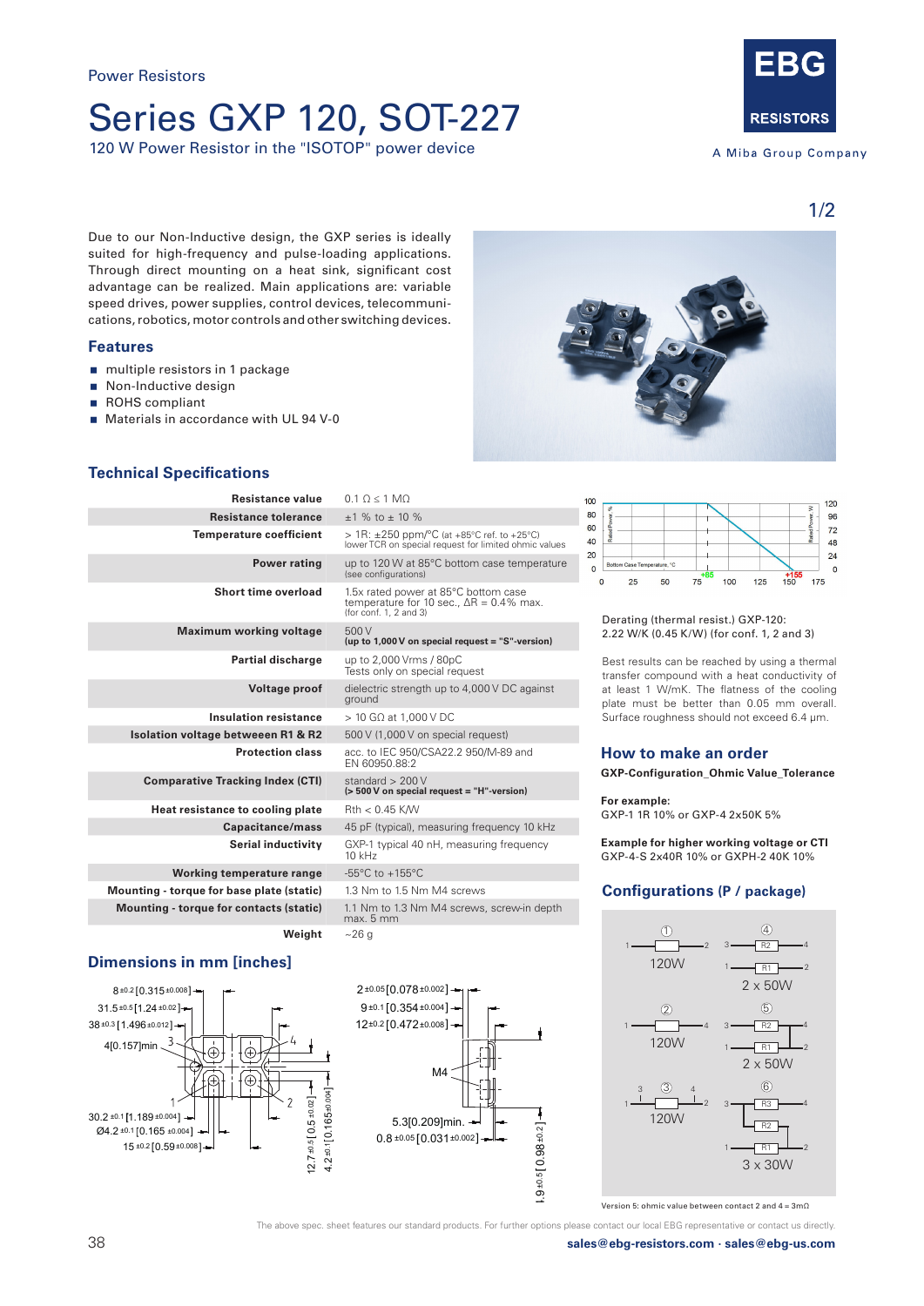## Series GXP 120, SOT-227

120 W Power Resistor in the "ISOTOP" power device



A Miba Group Company

1/2

 $120$ 

Due to our Non-Inductive design, the GXP series is ideally suited for high-frequency and pulse-loading applications. Through direct mounting on a heat sink, significant cost advantage can be realized. Main applications are: variable speed drives, power supplies, control devices, telecommunications, robotics, motor controls and other switching devices.

## **Features**

- multiple resistors in 1 package
- Non-Inductive design
- ROHS compliant
- **Materials in accordance with UL 94 V-0**



| Resistance value                              | $0.1$ O < 1 MO                                                                                                                |
|-----------------------------------------------|-------------------------------------------------------------------------------------------------------------------------------|
| <b>Resistance tolerance</b>                   | $+1$ % to $+10$ %                                                                                                             |
| <b>Temperature coefficient</b>                | $> 1R$ : $\pm 250$ ppm/°C (at +85°C ref. to +25°C)<br>lower TCR on special request for limited ohmic values                   |
| <b>Power rating</b>                           | up to 120 W at 85°C bottom case temperature<br>(see configurations)                                                           |
| <b>Short time overload</b>                    | 1.5x rated power at 85°C bottom case<br>temperature for 10 sec., $\Delta R = 0.4\%$ max.<br>(for $\text{conf. } 1$ , 2 and 3) |
| <b>Maximum working voltage</b>                | 500 V<br>(up to $1,000V$ on special request = "S"-version)                                                                    |
| <b>Partial discharge</b>                      | up to 2,000 Vrms / 80pC<br>Tests only on special request                                                                      |
| <b>Voltage proof</b>                          | dielectric strength up to 4,000 V DC against<br>ground                                                                        |
| <b>Insulation resistance</b>                  | $>$ 10 GQ at 1.000 V DC                                                                                                       |
| <b>Isolation voltage betweeen R1 &amp; R2</b> | 500 V (1,000 V on special request)                                                                                            |
| <b>Protection class</b>                       | acc. to IEC 950/CSA22.2 950/M-89 and<br>EN 60950.88:2                                                                         |
| <b>Comparative Tracking Index (CTI)</b>       | standard $> 200V$<br>(> 500 V on special request = "H"-version)                                                               |
| Heat resistance to cooling plate              | $Rth < 0.45$ K/W                                                                                                              |
| Capacitance/mass                              | 45 pF (typical), measuring frequency 10 kHz                                                                                   |
| Serial inductivity                            | GXP-1 typical 40 nH, measuring frequency<br>$10$ kHz                                                                          |
| Working temperature range                     | $-55^{\circ}$ C to $+155^{\circ}$ C                                                                                           |
| Mounting - torque for base plate (static)     | 1.3 Nm to 1.5 Nm M4 screws                                                                                                    |
| Mounting - torque for contacts (static)       | 1.1 Nm to 1.3 Nm M4 screws, screw-in depth<br>max. 5 mm                                                                       |
| Weight                                        | ~26 a                                                                                                                         |

## **Dimensions in mm [inches]**





100



80  $96$ 60  $72$  $40$  $\overline{AB}$ 20  $\overline{24}$  $\overline{0}$  $\Omega$  $\overline{0}$  $25$  $50$  $75$ 100 125  $-150$ 175

Derating (thermal resist.) GXP-120: 2.22 W/K (0.45 K/W) (for conf. 1, 2 and 3)

Best results can be reached by using a thermal transfer compound with a heat conductivity of at least 1 W/mK. The flatness of the cooling plate must be better than 0.05 mm overall. Surface roughness should not exceed 6.4 μm.

## **How to make an order**

**GXP-Configuration\_Ohmic Value\_Tolerance**

**For example:** 

GXP-1 1R 10% or GXP-4 2x50K 5%

**Example for higher working voltage or CTI** GXP-4-S 2x40R 10% or GXPH-2 40K 10%

## **Configurations (P / package)**



Version 5: ohmic value between contact 2 and 4 = 3mΩ

The above spec. sheet features our standard products. For further options please contact our local EBG representative or contact us directly.